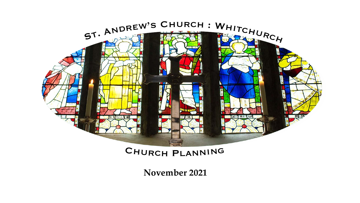

### Churc<sup>h</sup> <sup>P</sup>lannin<sup>g</sup>

**November 2021**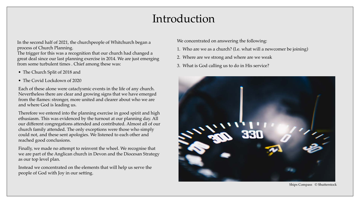## Introduction

In the second half of 2021, the churchpeople of Whitchurch began a process of Church Planning.

- The Church Split of 2018 and
- The Covid Lockdown of 2020

The trigger for this was a recognition that our church had changed a great deal since our last planning exercise in 2014. We are just emerging from some turbulent times . Chief among these was:

Each of these alone were cataclysmic events in the life of any church. Nevertheless there are clear and growing signs that we have emerged from the flames: stronger, more united and clearer about who we are and where God is leading us.

Therefore we entered into the planning exercise in good spirit and high ethusiasm. This was evidenced by the turnout at our planning day. All our different congregations attended and contributed. Almost all of our church family attended. The only exceptions were those who simply could not, and these sent apologies. We listened to each other and reached good conclusions.

Finally, we made no attempt to reinvent the wheel. We recognise that we are part of the Anglican church in Devon and the Diocesan Strategy as our top level plan.

Instead we concentrated on the elements that will help us serve the people of God with Joy in our setting.

Ships Compass © Shutterstock



We concentrated on answering the following:

- 1. Who are we as a church? (I.e. what will a newcomer be joining)
- 2. Where are we strong and where are we weak
- 3. What is God calling us to do in His service?

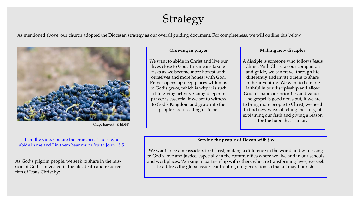# Strategy

#### As mentioned above, our church adopted the Diocesan strategy as our overall guiding document. For completeness, we will outline this below.



Grape harvest © EDBF

### **Growing in prayer**

We want to abide in Christ and live our lives close to God. This means taking risks as we become more honest with ourselves and more honest with God. Prayer opens up deep places within us to God's grace, which is why it is such a life-giving activity. Going deeper in prayer is essential if we are to witness to God's Kingdom and grow into the people God is calling us to be.

#### 'I am the vine, you are the branches. Those who abide in me and I in them bear much fruit.' John 15.5

As God's pilgrim people, we seek to share in the mission of God as revealed in the life, death and resurrection of Jesus Christ by:

### **Making new disciples**

A disciple is someone who follows Jesus Christ. With Christ as our companion and guide, we can travel through life differently and invite others to share in the adventure. We want to be more faithful in our discipleship and allow God to shape our priorities and values. The gospel is good news but, if we are to bring more people to Christ, we need to find new ways of telling the story, of explaining our faith and giving a reason for the hope that is in us.

### **Serving the people of Devon with joy**



We want to be ambassadors for Christ, making a difference in the world and witnessing to God's love and justice, especially in the communities where we live and in our schools and workplaces. Working in partnership with others who are transforming lives, we seek to address the global issues confronting our generation so that all may flourish.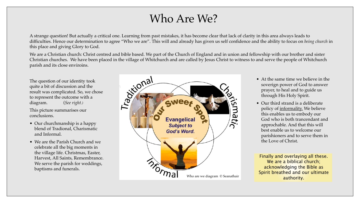## Who Are We?



A strange question! But actually a critical one. Learning from past mistakes, it has become clear that lack of clarity in this area always leads to difficulties. Hence our determination to agree "Who we are". This will and already has given us self confidence and the ability to focus on *being church* in this place and giving Glory to God.

We are a Christian church: Christ centred and bible based. We part of the Church of England and in union and fellowship with our brother and sister Christian churches. We have been placed in the village of Whitchurch and are called by Jesus Christ to witness to and serve the people of Whitchurch parish and its close enviroins.

- At the same time we believe in the soverign power of God to answer prayer, to heal and to guide us through His Holy Spirit.
- Our third strand is a deliberate policy of informality. We believe this enables us to embody our God who is both trancendant and approchable. And that this will best enable us to welcome our parishioners and to serve them in the Love of Christ.

The question of our identity took quite a bit of discussion and the result was complicated. So, we chose to represent the outcome with a diagram. (*See right.)*

This picture summarises our conclusions.

 $\overline{\phantom{a}}$ 

- Our churchmanship is a happy blend of Tradional, Charismatic and Informal.
- We are the Parish Church and we celebrate all the big moments in the village life. Christmas, Easter, Harvest, All Saints, Remembrance. We serve the parish for weddings, baptisms and funerals.

Finally and overlaying all these. We are a biblical church; acknowledging the Bible as Spirit breathed and our ultimate authority.

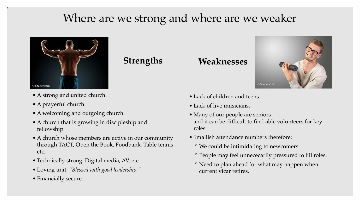# Where are we strong and where are we weaker

- A strong and united church.
- A prayerful church.

 $\overline{T}$ 

- A welcoming and outgoing church.
- A church that is growing in discipleship and fellowship.
- A church whose members are active in our community through TACT, Open the Book, Foodbank, Table tennis etc.
- Technically strong. Digital media, AV, etc.
- Loving unit. *"Blessed with good leadership."*
- Financially secure.

### **Strengths Weaknesses**



- Lack of children and teens.
- Lack of live musicians.
- Many of our people are seniors and it can be difficult to find able volunteers for key roles.
- Smallish attendance numbers therefore:
	- \* We could be intimidating to newcomers.
	- \* People may feel unnececarily pressured to fill roles.
	- \* Need to plan ahead for what may happen when current vicar retires.



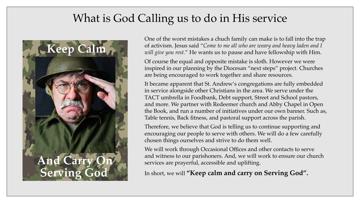# What is God Calling us to do in His service



One of the worst mistakes a chuch family can make is to fall into the trap of activism. Jesus said "*Come to me all who are weary and heavy laden and I will give you rest.*" He wants us to pause and have fellowship with Him.

Of course the equal and opposite mistake is sloth. However we were inspired in our planning by the Diocesan "next steps" project. Churches are being encouraged to work together and share resources.

We will work through Occasional Offices and other contacts to serve and witness to our parishoners. And, we will work to ensure our church services are prayerful, accessible and uplifting.

It became apparent that St. Andrew's congregations are fully embedded in service alongside other Christians in the area. We serve under the TACT umbrella in Foodbank, Debt support, Street and School pastors, and more. We partner with Redeemer church and Abby Chapel in Open the Book, and run a number of initiatives under our own banner. Such as, Table tennis, Back fitness, and pastoral support across the parish.

Therefore, we believe that God is telling us to continue supporting and encouraging our people to serve with others. We will do a few carefully chosen things ourselves and strive to do them well.

In short, we will **"Keep calm and carry on Serving God".**